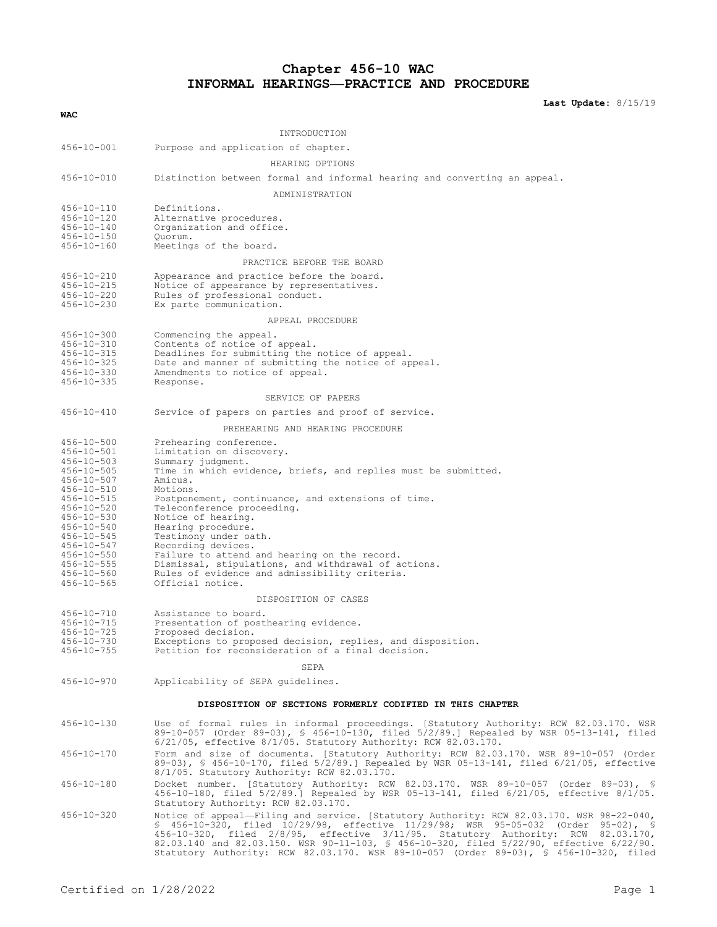# **Chapter 456-10 WAC INFORMAL HEARINGS—PRACTICE AND PROCEDURE**

**Last Update:** 8/15/19

| <b>WAC</b>                                                                                                                                                                                                                                                       |                                                                                                                                                                                                                                                                                                                                                                                                                                                       |  |
|------------------------------------------------------------------------------------------------------------------------------------------------------------------------------------------------------------------------------------------------------------------|-------------------------------------------------------------------------------------------------------------------------------------------------------------------------------------------------------------------------------------------------------------------------------------------------------------------------------------------------------------------------------------------------------------------------------------------------------|--|
|                                                                                                                                                                                                                                                                  | INTRODUCTION                                                                                                                                                                                                                                                                                                                                                                                                                                          |  |
|                                                                                                                                                                                                                                                                  |                                                                                                                                                                                                                                                                                                                                                                                                                                                       |  |
| $456 - 10 - 001$                                                                                                                                                                                                                                                 | Purpose and application of chapter.                                                                                                                                                                                                                                                                                                                                                                                                                   |  |
|                                                                                                                                                                                                                                                                  | HEARING OPTIONS                                                                                                                                                                                                                                                                                                                                                                                                                                       |  |
| $456 - 10 - 010$                                                                                                                                                                                                                                                 | Distinction between formal and informal hearing and converting an appeal.                                                                                                                                                                                                                                                                                                                                                                             |  |
|                                                                                                                                                                                                                                                                  | ADMINISTRATION                                                                                                                                                                                                                                                                                                                                                                                                                                        |  |
| $456 - 10 - 110$<br>$456 - 10 - 120$<br>$456 - 10 - 140$<br>$456 - 10 - 150$<br>$456 - 10 - 160$                                                                                                                                                                 | Definitions.<br>Alternative procedures.<br>Organization and office.<br>Ouorum.<br>Meetings of the board.                                                                                                                                                                                                                                                                                                                                              |  |
|                                                                                                                                                                                                                                                                  | PRACTICE BEFORE THE BOARD                                                                                                                                                                                                                                                                                                                                                                                                                             |  |
|                                                                                                                                                                                                                                                                  |                                                                                                                                                                                                                                                                                                                                                                                                                                                       |  |
| $456 - 10 - 210$<br>$456 - 10 - 215$<br>$456 - 10 - 220$<br>$456 - 10 - 230$                                                                                                                                                                                     | Appearance and practice before the board.<br>Notice of appearance by representatives.<br>Rules of professional conduct.<br>Ex parte communication.                                                                                                                                                                                                                                                                                                    |  |
|                                                                                                                                                                                                                                                                  | APPEAL PROCEDURE                                                                                                                                                                                                                                                                                                                                                                                                                                      |  |
| $456 - 10 - 300$<br>$456 - 10 - 310$<br>$456 - 10 - 315$<br>$456 - 10 - 325$<br>$456 - 10 - 330$<br>$456 - 10 - 335$                                                                                                                                             | Commencing the appeal.<br>Contents of notice of appeal.<br>Deadlines for submitting the notice of appeal.<br>Date and manner of submitting the notice of appeal.<br>Amendments to notice of appeal.<br>Response.                                                                                                                                                                                                                                      |  |
| SERVICE OF PAPERS                                                                                                                                                                                                                                                |                                                                                                                                                                                                                                                                                                                                                                                                                                                       |  |
| $456 - 10 - 410$                                                                                                                                                                                                                                                 | Service of papers on parties and proof of service.                                                                                                                                                                                                                                                                                                                                                                                                    |  |
|                                                                                                                                                                                                                                                                  | PREHEARING AND HEARING PROCEDURE                                                                                                                                                                                                                                                                                                                                                                                                                      |  |
| $456 - 10 - 500$                                                                                                                                                                                                                                                 | Prehearing conference.                                                                                                                                                                                                                                                                                                                                                                                                                                |  |
| $456 - 10 - 501$<br>$456 - 10 - 503$<br>$456 - 10 - 505$<br>$456 - 10 - 507$<br>$456 - 10 - 510$<br>$456 - 10 - 515$<br>$456 - 10 - 520$<br>$456 - 10 - 530$<br>$456 - 10 - 540$<br>$456 - 10 - 545$<br>$456 - 10 - 547$<br>$456 - 10 - 550$<br>$456 - 10 - 555$ | Limitation on discovery.<br>Summary judgment.<br>Time in which evidence, briefs, and replies must be submitted.<br>Amicus.<br>Motions.<br>Postponement, continuance, and extensions of time.<br>Teleconference proceeding.<br>Notice of hearing.<br>Hearing procedure.<br>Testimony under oath.<br>Recording devices.<br>Failure to attend and hearing on the record.                                                                                 |  |
| $456 - 10 - 560$                                                                                                                                                                                                                                                 | Dismissal, stipulations, and withdrawal of actions.<br>Rules of evidence and admissibility criteria.                                                                                                                                                                                                                                                                                                                                                  |  |
| $456 - 10 - 565$                                                                                                                                                                                                                                                 | Official notice.                                                                                                                                                                                                                                                                                                                                                                                                                                      |  |
|                                                                                                                                                                                                                                                                  | DISPOSITION OF CASES                                                                                                                                                                                                                                                                                                                                                                                                                                  |  |
| $456 - 10 - 710$<br>$456 - 10 - 715$<br>$456 - 10 - 725$<br>$456 - 10 - 730$<br>$456 - 10 - 755$                                                                                                                                                                 | Assistance to board.<br>Presentation of posthearing evidence.<br>Proposed decision.<br>Exceptions to proposed decision, replies, and disposition.<br>Petition for reconsideration of a final decision.<br>SEPA                                                                                                                                                                                                                                        |  |
| $456 - 10 - 970$                                                                                                                                                                                                                                                 | Applicability of SEPA guidelines.                                                                                                                                                                                                                                                                                                                                                                                                                     |  |
|                                                                                                                                                                                                                                                                  |                                                                                                                                                                                                                                                                                                                                                                                                                                                       |  |
|                                                                                                                                                                                                                                                                  | DISPOSITION OF SECTIONS FORMERLY CODIFIED IN THIS CHAPTER                                                                                                                                                                                                                                                                                                                                                                                             |  |
| $456 - 10 - 130$                                                                                                                                                                                                                                                 | Use of formal rules in informal proceedings. [Statutory Authority: RCW 82.03.170. WSR<br>89-10-057 (Order 89-03), § 456-10-130, filed 5/2/89.] Repealed by WSR 05-13-141, filed<br>$6/21/05$ , effective $8/1/05$ . Statutory Authority: RCW 82.03.170.                                                                                                                                                                                               |  |
| $456 - 10 - 170$                                                                                                                                                                                                                                                 | Form and size of documents. [Statutory Authority: RCW 82.03.170. WSR 89-10-057 (Order<br>89-03), § 456-10-170, filed 5/2/89.] Repealed by WSR 05-13-141, filed 6/21/05, effective<br>8/1/05. Statutory Authority: RCW 82.03.170.                                                                                                                                                                                                                      |  |
| $456 - 10 - 180$                                                                                                                                                                                                                                                 | Docket number. [Statutory Authority: RCW 82.03.170. WSR 89-10-057 (Order 89-03), §<br>456-10-180, filed 5/2/89.] Repealed by WSR 05-13-141, filed 6/21/05, effective 8/1/05.<br>Statutory Authority: RCW 82.03.170.                                                                                                                                                                                                                                   |  |
| $456 - 10 - 320$                                                                                                                                                                                                                                                 | Notice of appeal—Filing and service. [Statutory Authority: RCW 82.03.170. WSR 98-22-040,<br>\$ 456-10-320, filed 10/29/98, effective 11/29/98; WSR 95-05-032 (Order 95-02), \$<br>456-10-320, filed 2/8/95, effective 3/11/95. Statutory Authority: RCW 82.03.170,<br>82.03.140 and 82.03.150. WSR 90-11-103, § 456-10-320, filed 5/22/90, effective 6/22/90.<br>Statutory Authority: RCW 82.03.170. WSR 89-10-057 (Order 89-03), § 456-10-320, filed |  |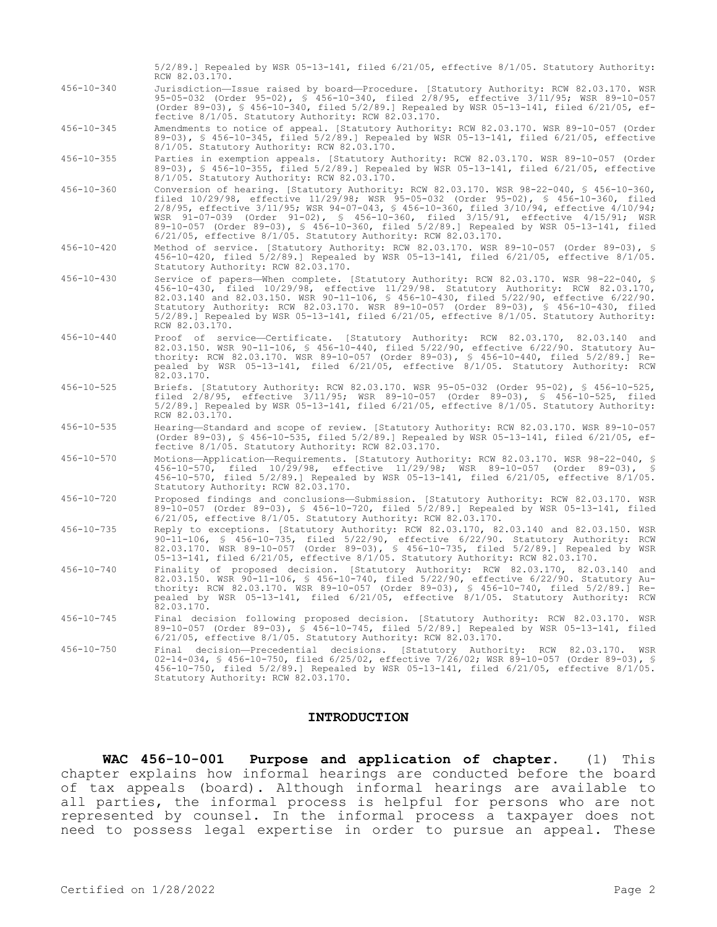|                  | $5/2/89$ .] Repealed by WSR 05-13-141, filed $6/21/05$ , effective $8/1/05$ . Statutory Authority:<br>RCW 82.03.170.                                                                                                                                                                                                                                                                                                                                                                                                                |
|------------------|-------------------------------------------------------------------------------------------------------------------------------------------------------------------------------------------------------------------------------------------------------------------------------------------------------------------------------------------------------------------------------------------------------------------------------------------------------------------------------------------------------------------------------------|
| $456 - 10 - 340$ | Jurisdiction-Issue raised by board-Procedure. [Statutory Authority: RCW 82.03.170. WSR<br>95-05-032 (Order 95-02), § 456-10-340, filed 2/8/95, effective 3/11/95; WSR 89-10-057<br>(Order 89-03), \$ 456-10-340, filed $5/2/89$ .] Repealed by WSR 05-13-141, filed 6/21/05, ef-<br>fective 8/1/05. Statutory Authority: RCW 82.03.170.                                                                                                                                                                                             |
| $456 - 10 - 345$ | Amendments to notice of appeal. [Statutory Authority: RCW 82.03.170. WSR 89-10-057 (Order<br>89-03), § 456-10-345, filed 5/2/89.] Repealed by WSR 05-13-141, filed 6/21/05, effective<br>8/1/05. Statutory Authority: RCW 82.03.170.                                                                                                                                                                                                                                                                                                |
| $456 - 10 - 355$ | Parties in exemption appeals. [Statutory Authority: RCW 82.03.170. WSR 89-10-057 (Order<br>89-03), § 456-10-355, filed 5/2/89.] Repealed by WSR 05-13-141, filed 6/21/05, effective<br>8/1/05. Statutory Authority: RCW 82.03.170.                                                                                                                                                                                                                                                                                                  |
| $456 - 10 - 360$ | Conversion of hearing. [Statutory Authority: RCW 82.03.170. WSR 98-22-040, § 456-10-360,<br>filed 10/29/98, effective 11/29/98; WSR 95-05-032 (Order 95-02), § 456-10-360, filed<br>2/8/95, effective 3/11/95; WSR 94-07-043, § 456-10-360, filed 3/10/94, effective 4/10/94;<br>WSR 91-07-039 (Order 91-02), § 456-10-360, filed 3/15/91, effective 4/15/91; WSR<br>89-10-057 (Order 89-03), § 456-10-360, filed 5/2/89.] Repealed by WSR 05-13-141, filed<br>$6/21/05$ , effective $8/1/05$ . Statutory Authority: RCW 82.03.170. |
| $456 - 10 - 420$ | Method of service. [Statutory Authority: RCW 82.03.170. WSR 89-10-057 (Order 89-03), §<br>456-10-420, filed 5/2/89.] Repealed by WSR 05-13-141, filed 6/21/05, effective 8/1/05.<br>Statutory Authority: RCW 82.03.170.                                                                                                                                                                                                                                                                                                             |
| $456 - 10 - 430$ | Service of papers—When complete. [Statutory Authority: RCW 82.03.170. WSR 98-22-040, §<br>456-10-430, filed 10/29/98, effective 11/29/98. Statutory Authority: RCW 82.03.170,<br>82.03.140 and 82.03.150. WSR 90-11-106, \$ 456-10-430, filed 5/22/90, effective 6/22/90.<br>Statutory Authority: RCW 82.03.170. WSR 89-10-057 (Order 89-03), § 456-10-430, filed<br>$5/2/89$ .] Repealed by WSR 05-13-141, filed $6/21/05$ , effective $8/1/05$ . Statutory Authority:<br>RCW 82.03.170.                                           |
| $456 - 10 - 440$ | Proof of service-Certificate. [Statutory Authority: RCW 82.03.170, 82.03.140 and<br>82.03.150. WSR 90-11-106, § 456-10-440, filed 5/22/90, effective 6/22/90. Statutory Au-<br>thority: RCW 82.03.170. WSR 89-10-057 (Order 89-03), § 456-10-440, filed 5/2/89.] Re-<br>pealed by WSR 05-13-141, filed 6/21/05, effective 8/1/05. Statutory Authority: RCW<br>82.03.170.                                                                                                                                                            |
| $456 - 10 - 525$ | Briefs. [Statutory Authority: RCW 82.03.170. WSR 95-05-032 (Order 95-02), § 456-10-525,<br>filed 2/8/95, effective 3/11/95; WSR 89-10-057 (Order 89-03), § 456-10-525, filed<br>$5/2/89$ .] Repealed by WSR 05-13-141, filed $6/21/05$ , effective $8/1/05$ . Statutory Authority:<br>RCW 82.03.170.                                                                                                                                                                                                                                |
| $456 - 10 - 535$ | Hearing-Standard and scope of review. [Statutory Authority: RCW 82.03.170. WSR 89-10-057<br>(Order 89-03), § 456-10-535, filed 5/2/89.] Repealed by WSR 05-13-141, filed 6/21/05, ef-<br>fective 8/1/05. Statutory Authority: RCW 82.03.170.                                                                                                                                                                                                                                                                                        |
| $456 - 10 - 570$ | Motions-Application-Requirements. [Statutory Authority: RCW 82.03.170. WSR 98-22-040, §<br>456-10-570, filed 10/29/98, effective 11/29/98; WSR 89-10-057 (Order 89-03), §<br>456-10-570, filed 5/2/89.] Repealed by WSR 05-13-141, filed 6/21/05, effective 8/1/05.<br>Statutory Authority: RCW 82.03.170.                                                                                                                                                                                                                          |
| $456 - 10 - 720$ | Proposed findings and conclusions-Submission. [Statutory Authority: RCW 82.03.170. WSR<br>89-10-057 (Order 89-03), § 456-10-720, filed 5/2/89.] Repealed by WSR 05-13-141, filed<br>$6/21/05$ , effective $8/1/05$ . Statutory Authority: RCW 82.03.170.                                                                                                                                                                                                                                                                            |
| $456 - 10 - 735$ | Reply to exceptions. [Statutory Authority: RCW 82.03.170, 82.03.140 and 82.03.150. WSR<br>90-11-106, § 456-10-735, filed 5/22/90, effective 6/22/90. Statutory Authority: RCW<br>82.03.170. WSR 89-10-057 (Order 89-03), § 456-10-735, filed 5/2/89.] Repealed by WSR<br>05-13-141, filed 6/21/05, effective 8/1/05. Statutory Authority: RCW 82.03.170.                                                                                                                                                                            |
| $456 - 10 - 740$ | Finality of proposed decision. [Statutory Authority: RCW 82.03.170, 82.03.140 and<br>82.03.150. WSR 90-11-106, § 456-10-740, filed 5/22/90, effective 6/22/90. Statutory Au-<br>thority: RCW 82.03.170. WSR 89-10-057 (Order 89-03), § 456-10-740, filed 5/2/89.] Re-<br>pealed by WSR 05-13-141, filed 6/21/05, effective 8/1/05. Statutory Authority: RCW<br>82.03.170.                                                                                                                                                           |
| $456 - 10 - 745$ | Final decision following proposed decision. [Statutory Authority: RCW 82.03.170. WSR<br>89-10-057 (Order 89-03), § 456-10-745, filed 5/2/89.] Repealed by WSR 05-13-141, filed<br>$6/21/05$ , effective $8/1/05$ . Statutory Authority: RCW 82.03.170.                                                                                                                                                                                                                                                                              |
| $456 - 10 - 750$ | Final decision-Precedential decisions. [Statutory Authority: RCW 82.03.170. WSR<br>02-14-034, § 456-10-750, filed 6/25/02, effective 7/26/02; WSR 89-10-057 (Order 89-03), §<br>456-10-750, filed 5/2/89.] Repealed by WSR 05-13-141, filed 6/21/05, effective 8/1/05.<br>Statutory Authority: RCW 82.03.170.                                                                                                                                                                                                                       |

#### **INTRODUCTION**

**WAC 456-10-001 Purpose and application of chapter.** (1) This chapter explains how informal hearings are conducted before the board of tax appeals (board). Although informal hearings are available to all parties, the informal process is helpful for persons who are not represented by counsel. In the informal process a taxpayer does not need to possess legal expertise in order to pursue an appeal. These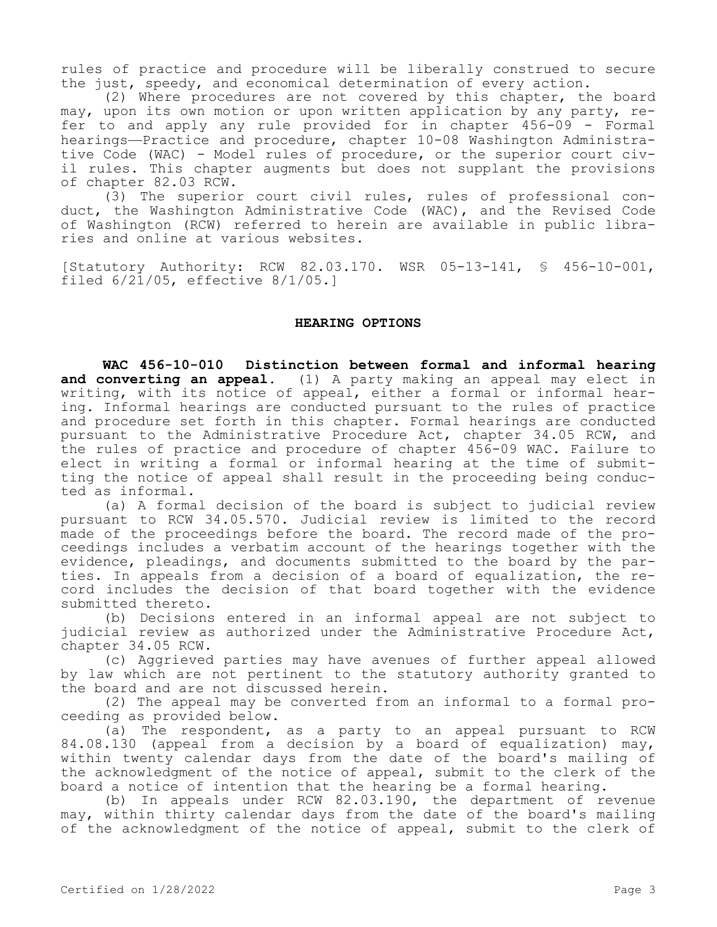rules of practice and procedure will be liberally construed to secure the just, speedy, and economical determination of every action.

(2) Where procedures are not covered by this chapter, the board may, upon its own motion or upon written application by any party, refer to and apply any rule provided for in chapter 456-09 - Formal hearings—Practice and procedure, chapter 10-08 Washington Administrative Code (WAC) - Model rules of procedure, or the superior court civil rules. This chapter augments but does not supplant the provisions of chapter 82.03 RCW.

(3) The superior court civil rules, rules of professional conduct, the Washington Administrative Code (WAC), and the Revised Code of Washington (RCW) referred to herein are available in public libraries and online at various websites.

[Statutory Authority: RCW 82.03.170. WSR 05-13-141, § 456-10-001, filed 6/21/05, effective 8/1/05.]

## **HEARING OPTIONS**

**WAC 456-10-010 Distinction between formal and informal hearing and converting an appeal.** (1) A party making an appeal may elect in writing, with its notice of appeal, either a formal or informal hearing. Informal hearings are conducted pursuant to the rules of practice and procedure set forth in this chapter. Formal hearings are conducted pursuant to the Administrative Procedure Act, chapter 34.05 RCW, and the rules of practice and procedure of chapter 456-09 WAC. Failure to elect in writing a formal or informal hearing at the time of submitting the notice of appeal shall result in the proceeding being conducted as informal.

(a) A formal decision of the board is subject to judicial review pursuant to RCW 34.05.570. Judicial review is limited to the record made of the proceedings before the board. The record made of the proceedings includes a verbatim account of the hearings together with the evidence, pleadings, and documents submitted to the board by the parties. In appeals from a decision of a board of equalization, the record includes the decision of that board together with the evidence submitted thereto.

(b) Decisions entered in an informal appeal are not subject to judicial review as authorized under the Administrative Procedure Act, chapter 34.05 RCW.

(c) Aggrieved parties may have avenues of further appeal allowed by law which are not pertinent to the statutory authority granted to the board and are not discussed herein.

(2) The appeal may be converted from an informal to a formal proceeding as provided below.

(a) The respondent, as a party to an appeal pursuant to RCW 84.08.130 (appeal from a decision by a board of equalization) may, within twenty calendar days from the date of the board's mailing of the acknowledgment of the notice of appeal, submit to the clerk of the board a notice of intention that the hearing be a formal hearing.

(b) In appeals under RCW 82.03.190, the department of revenue may, within thirty calendar days from the date of the board's mailing of the acknowledgment of the notice of appeal, submit to the clerk of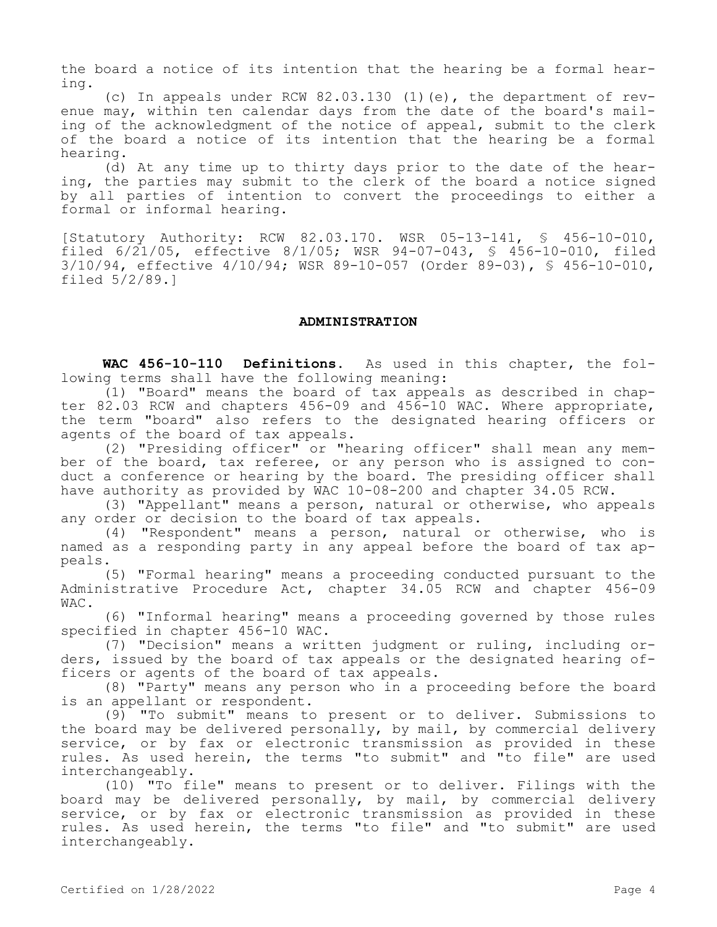the board a notice of its intention that the hearing be a formal hearing.

(c) In appeals under RCW 82.03.130 (1)(e), the department of revenue may, within ten calendar days from the date of the board's mailing of the acknowledgment of the notice of appeal, submit to the clerk of the board a notice of its intention that the hearing be a formal hearing.

(d) At any time up to thirty days prior to the date of the hearing, the parties may submit to the clerk of the board a notice signed by all parties of intention to convert the proceedings to either a formal or informal hearing.

[Statutory Authority: RCW 82.03.170. WSR 05-13-141, § 456-10-010, filed 6/21/05, effective 8/1/05; WSR 94-07-043, § 456-10-010, filed 3/10/94, effective 4/10/94; WSR 89-10-057 (Order 89-03), § 456-10-010, filed 5/2/89.]

## **ADMINISTRATION**

**WAC 456-10-110 Definitions.** As used in this chapter, the following terms shall have the following meaning:

(1) "Board" means the board of tax appeals as described in chapter 82.03 RCW and chapters 456-09 and 456-10 WAC. Where appropriate, the term "board" also refers to the designated hearing officers or agents of the board of tax appeals.

(2) "Presiding officer" or "hearing officer" shall mean any member of the board, tax referee, or any person who is assigned to conduct a conference or hearing by the board. The presiding officer shall have authority as provided by WAC 10-08-200 and chapter 34.05 RCW.

(3) "Appellant" means a person, natural or otherwise, who appeals any order or decision to the board of tax appeals.

(4) "Respondent" means a person, natural or otherwise, who is named as a responding party in any appeal before the board of tax appeals.

(5) "Formal hearing" means a proceeding conducted pursuant to the Administrative Procedure Act, chapter 34.05 RCW and chapter 456-09 WAC.

(6) "Informal hearing" means a proceeding governed by those rules specified in chapter 456-10 WAC.

(7) "Decision" means a written judgment or ruling, including orders, issued by the board of tax appeals or the designated hearing officers or agents of the board of tax appeals.

(8) "Party" means any person who in a proceeding before the board is an appellant or respondent.

(9) "To submit" means to present or to deliver. Submissions to the board may be delivered personally, by mail, by commercial delivery service, or by fax or electronic transmission as provided in these rules. As used herein, the terms "to submit" and "to file" are used interchangeably.

(10) "To file" means to present or to deliver. Filings with the board may be delivered personally, by mail, by commercial delivery service, or by fax or electronic transmission as provided in these rules. As used herein, the terms "to file" and "to submit" are used interchangeably.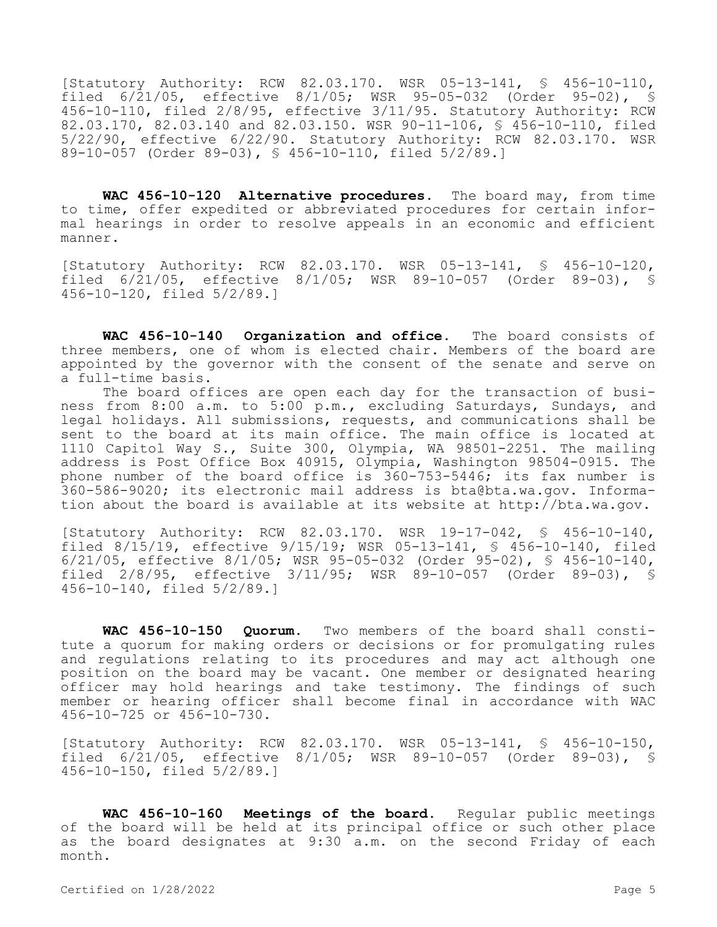[Statutory Authority: RCW 82.03.170. WSR 05-13-141, § 456-10-110, filed 6/21/05, effective 8/1/05; WSR 95-05-032 (Order 95-02), § 456-10-110, filed 2/8/95, effective 3/11/95. Statutory Authority: RCW 82.03.170, 82.03.140 and 82.03.150. WSR 90-11-106, § 456-10-110, filed 5/22/90, effective 6/22/90. Statutory Authority: RCW 82.03.170. WSR 89-10-057 (Order 89-03), § 456-10-110, filed 5/2/89.]

**WAC 456-10-120 Alternative procedures.** The board may, from time to time, offer expedited or abbreviated procedures for certain informal hearings in order to resolve appeals in an economic and efficient manner.

[Statutory Authority: RCW 82.03.170. WSR 05-13-141, § 456-10-120, filed 6/21/05, effective 8/1/05; WSR 89-10-057 (Order 89-03), § 456-10-120, filed 5/2/89.]

**WAC 456-10-140 Organization and office.** The board consists of three members, one of whom is elected chair. Members of the board are appointed by the governor with the consent of the senate and serve on a full-time basis.

The board offices are open each day for the transaction of business from 8:00 a.m. to 5:00 p.m., excluding Saturdays, Sundays, and legal holidays. All submissions, requests, and communications shall be sent to the board at its main office. The main office is located at 1110 Capitol Way S., Suite 300, Olympia, WA 98501-2251. The mailing address is Post Office Box 40915, Olympia, Washington 98504-0915. The phone number of the board office is 360-753-5446; its fax number is 360-586-9020; its electronic mail address is bta@bta.wa.gov. Information about the board is available at its website at http://bta.wa.gov.

[Statutory Authority: RCW 82.03.170. WSR 19-17-042, § 456-10-140, filed 8/15/19, effective 9/15/19; WSR 05-13-141, § 456-10-140, filed 6/21/05, effective 8/1/05; WSR 95-05-032 (Order 95-02), § 456-10-140, filed 2/8/95, effective 3/11/95; WSR 89-10-057 (Order 89-03), § 456-10-140, filed 5/2/89.]

**WAC 456-10-150 Quorum.** Two members of the board shall constitute a quorum for making orders or decisions or for promulgating rules and regulations relating to its procedures and may act although one position on the board may be vacant. One member or designated hearing officer may hold hearings and take testimony. The findings of such member or hearing officer shall become final in accordance with WAC 456-10-725 or 456-10-730.

[Statutory Authority: RCW 82.03.170. WSR 05-13-141, § 456-10-150, filed 6/21/05, effective 8/1/05; WSR 89-10-057 (Order 89-03), § 456-10-150, filed 5/2/89.]

**WAC 456-10-160 Meetings of the board.** Regular public meetings of the board will be held at its principal office or such other place as the board designates at 9:30 a.m. on the second Friday of each month.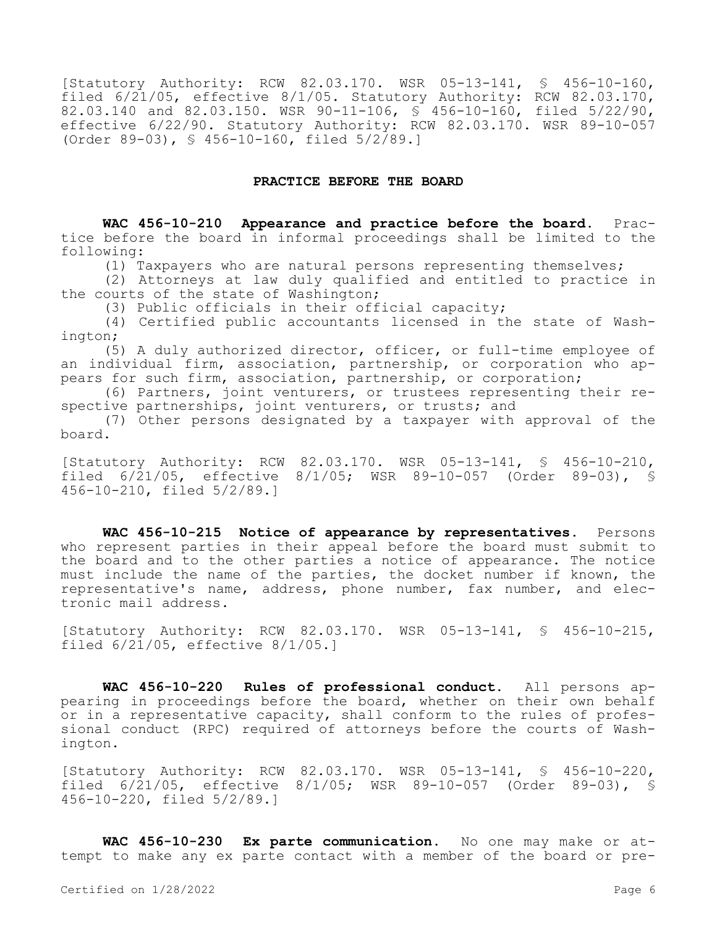[Statutory Authority: RCW 82.03.170. WSR 05-13-141, § 456-10-160, filed 6/21/05, effective 8/1/05. Statutory Authority: RCW 82.03.170, 82.03.140 and 82.03.150. WSR 90-11-106, § 456-10-160, filed 5/22/90, effective 6/22/90. Statutory Authority: RCW 82.03.170. WSR 89-10-057 (Order 89-03), § 456-10-160, filed 5/2/89.]

## **PRACTICE BEFORE THE BOARD**

**WAC 456-10-210 Appearance and practice before the board.** Practice before the board in informal proceedings shall be limited to the following:

(1) Taxpayers who are natural persons representing themselves;

(2) Attorneys at law duly qualified and entitled to practice in the courts of the state of Washington;

(3) Public officials in their official capacity;

(4) Certified public accountants licensed in the state of Washington;

(5) A duly authorized director, officer, or full-time employee of an individual firm, association, partnership, or corporation who appears for such firm, association, partnership, or corporation;

(6) Partners, joint venturers, or trustees representing their respective partnerships, joint venturers, or trusts; and

(7) Other persons designated by a taxpayer with approval of the board.

[Statutory Authority: RCW 82.03.170. WSR 05-13-141, § 456-10-210, filed 6/21/05, effective 8/1/05; WSR 89-10-057 (Order 89-03), § 456-10-210, filed 5/2/89.]

**WAC 456-10-215 Notice of appearance by representatives.** Persons who represent parties in their appeal before the board must submit to the board and to the other parties a notice of appearance. The notice must include the name of the parties, the docket number if known, the representative's name, address, phone number, fax number, and electronic mail address.

[Statutory Authority: RCW 82.03.170. WSR 05-13-141, § 456-10-215, filed  $6/21/05$ , effective  $8/1/05.1$ 

**WAC 456-10-220 Rules of professional conduct.** All persons appearing in proceedings before the board, whether on their own behalf or in a representative capacity, shall conform to the rules of professional conduct (RPC) required of attorneys before the courts of Washington.

[Statutory Authority: RCW 82.03.170. WSR 05-13-141, § 456-10-220, filed 6/21/05, effective 8/1/05; WSR 89-10-057 (Order 89-03), § 456-10-220, filed 5/2/89.]

**WAC 456-10-230 Ex parte communication.** No one may make or attempt to make any ex parte contact with a member of the board or pre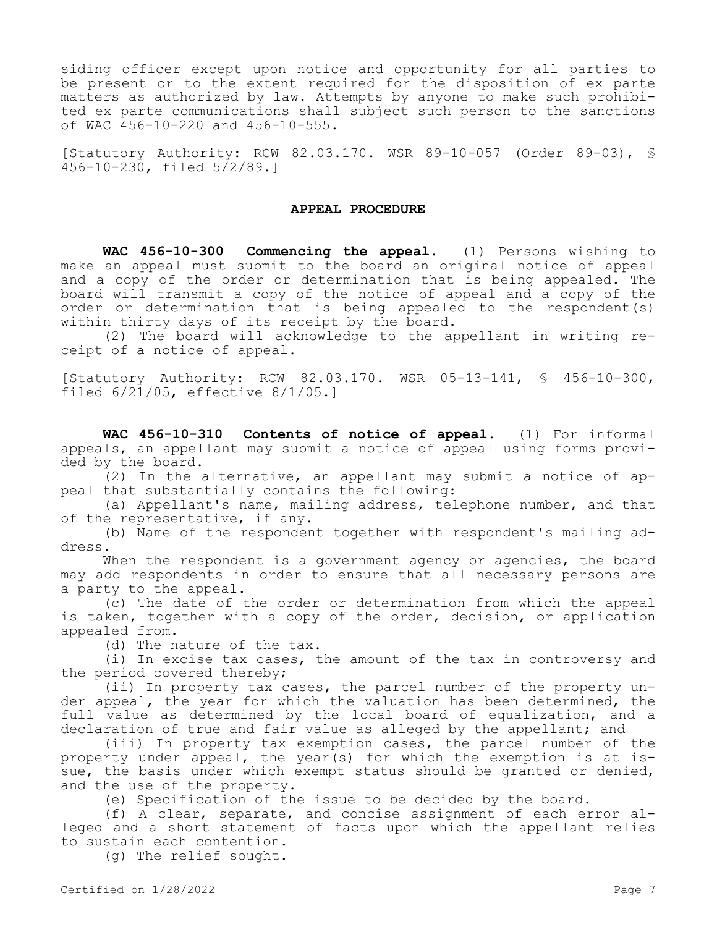siding officer except upon notice and opportunity for all parties to be present or to the extent required for the disposition of ex parte matters as authorized by law. Attempts by anyone to make such prohibited ex parte communications shall subject such person to the sanctions of WAC 456-10-220 and 456-10-555.

[Statutory Authority: RCW 82.03.170. WSR 89-10-057 (Order 89-03), § 456-10-230, filed 5/2/89.]

## **APPEAL PROCEDURE**

**WAC 456-10-300 Commencing the appeal.** (1) Persons wishing to make an appeal must submit to the board an original notice of appeal and a copy of the order or determination that is being appealed. The board will transmit a copy of the notice of appeal and a copy of the order or determination that is being appealed to the respondent(s) within thirty days of its receipt by the board.

(2) The board will acknowledge to the appellant in writing receipt of a notice of appeal.

[Statutory Authority: RCW 82.03.170. WSR 05-13-141, § 456-10-300, filed 6/21/05, effective 8/1/05.]

**WAC 456-10-310 Contents of notice of appeal.** (1) For informal appeals, an appellant may submit a notice of appeal using forms provided by the board.

(2) In the alternative, an appellant may submit a notice of appeal that substantially contains the following:

(a) Appellant's name, mailing address, telephone number, and that of the representative, if any.

(b) Name of the respondent together with respondent's mailing address.

When the respondent is a government agency or agencies, the board may add respondents in order to ensure that all necessary persons are a party to the appeal.

(c) The date of the order or determination from which the appeal is taken, together with a copy of the order, decision, or application appealed from.

(d) The nature of the tax.

(i) In excise tax cases, the amount of the tax in controversy and the period covered thereby;

(ii) In property tax cases, the parcel number of the property under appeal, the year for which the valuation has been determined, the full value as determined by the local board of equalization, and a declaration of true and fair value as alleged by the appellant; and

(iii) In property tax exemption cases, the parcel number of the property under appeal, the year(s) for which the exemption is at issue, the basis under which exempt status should be granted or denied, and the use of the property.

(e) Specification of the issue to be decided by the board.

(f) A clear, separate, and concise assignment of each error alleged and a short statement of facts upon which the appellant relies to sustain each contention.

(g) The relief sought.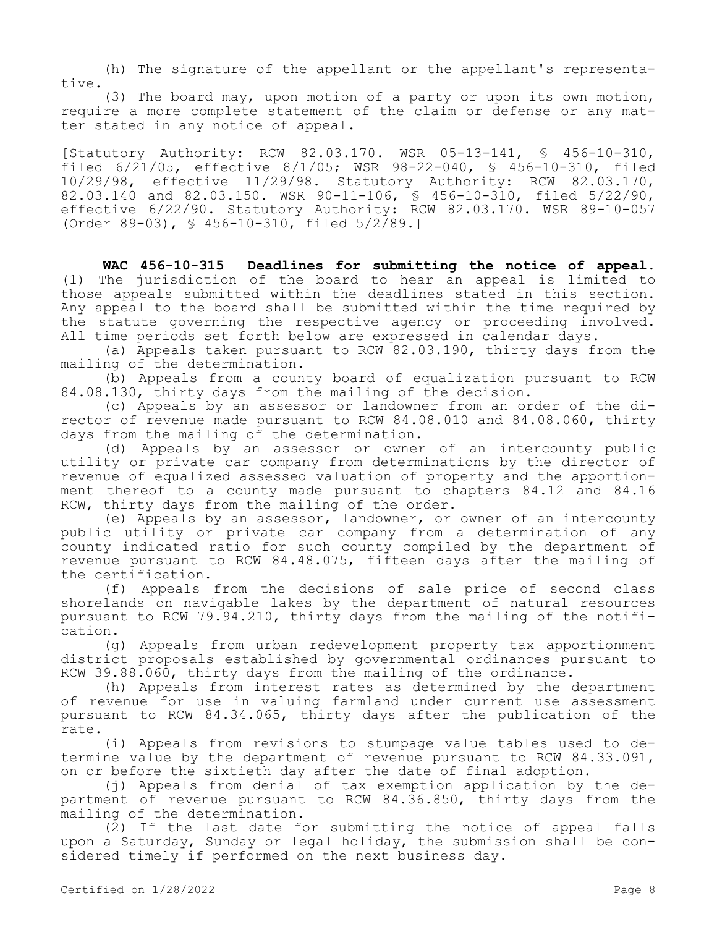(h) The signature of the appellant or the appellant's representative.

(3) The board may, upon motion of a party or upon its own motion, require a more complete statement of the claim or defense or any matter stated in any notice of appeal.

[Statutory Authority: RCW 82.03.170. WSR 05-13-141, § 456-10-310, filed 6/21/05, effective 8/1/05; WSR 98-22-040, § 456-10-310, filed 10/29/98, effective 11/29/98. Statutory Authority: RCW 82.03.170, 82.03.140 and 82.03.150. WSR 90-11-106, § 456-10-310, filed 5/22/90, effective 6/22/90. Statutory Authority: RCW 82.03.170. WSR 89-10-057 (Order 89-03), § 456-10-310, filed 5/2/89.]

**WAC 456-10-315 Deadlines for submitting the notice of appeal.**  (1) The jurisdiction of the board to hear an appeal is limited to those appeals submitted within the deadlines stated in this section. Any appeal to the board shall be submitted within the time required by the statute governing the respective agency or proceeding involved. All time periods set forth below are expressed in calendar days.

(a) Appeals taken pursuant to RCW 82.03.190, thirty days from the mailing of the determination.

(b) Appeals from a county board of equalization pursuant to RCW 84.08.130, thirty days from the mailing of the decision.

(c) Appeals by an assessor or landowner from an order of the director of revenue made pursuant to RCW 84.08.010 and 84.08.060, thirty days from the mailing of the determination.

(d) Appeals by an assessor or owner of an intercounty public utility or private car company from determinations by the director of revenue of equalized assessed valuation of property and the apportionment thereof to a county made pursuant to chapters 84.12 and 84.16 RCW, thirty days from the mailing of the order.

(e) Appeals by an assessor, landowner, or owner of an intercounty public utility or private car company from a determination of any county indicated ratio for such county compiled by the department of revenue pursuant to RCW 84.48.075, fifteen days after the mailing of the certification.

(f) Appeals from the decisions of sale price of second class shorelands on navigable lakes by the department of natural resources pursuant to RCW 79.94.210, thirty days from the mailing of the notification.

(g) Appeals from urban redevelopment property tax apportionment district proposals established by governmental ordinances pursuant to RCW 39.88.060, thirty days from the mailing of the ordinance.

(h) Appeals from interest rates as determined by the department of revenue for use in valuing farmland under current use assessment pursuant to RCW 84.34.065, thirty days after the publication of the rate.

(i) Appeals from revisions to stumpage value tables used to determine value by the department of revenue pursuant to RCW 84.33.091, on or before the sixtieth day after the date of final adoption.

(j) Appeals from denial of tax exemption application by the department of revenue pursuant to RCW 84.36.850, thirty days from the mailing of the determination.

(2) If the last date for submitting the notice of appeal falls upon a Saturday, Sunday or legal holiday, the submission shall be considered timely if performed on the next business day.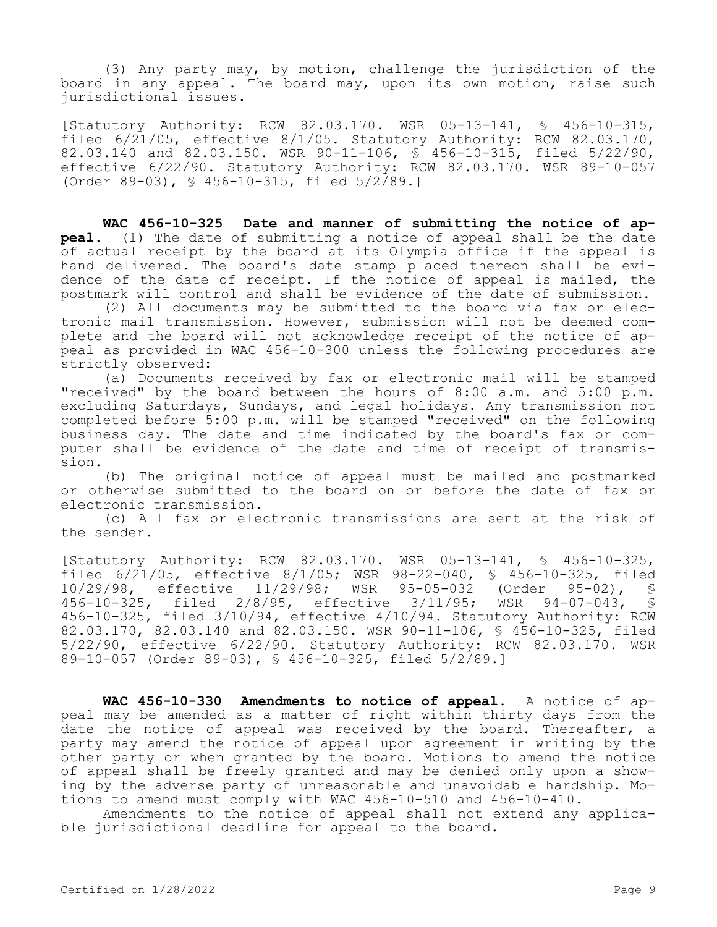(3) Any party may, by motion, challenge the jurisdiction of the board in any appeal. The board may, upon its own motion, raise such jurisdictional issues.

[Statutory Authority: RCW 82.03.170. WSR 05-13-141, § 456-10-315, filed 6/21/05, effective 8/1/05. Statutory Authority: RCW 82.03.170, 82.03.140 and 82.03.150. WSR 90-11-106, § 456-10-315, filed 5/22/90, effective 6/22/90. Statutory Authority: RCW 82.03.170. WSR 89-10-057 (Order 89-03), § 456-10-315, filed 5/2/89.]

**WAC 456-10-325 Date and manner of submitting the notice of appeal.** (1) The date of submitting a notice of appeal shall be the date of actual receipt by the board at its Olympia office if the appeal is hand delivered. The board's date stamp placed thereon shall be evidence of the date of receipt. If the notice of appeal is mailed, the postmark will control and shall be evidence of the date of submission.

(2) All documents may be submitted to the board via fax or electronic mail transmission. However, submission will not be deemed complete and the board will not acknowledge receipt of the notice of appeal as provided in WAC 456-10-300 unless the following procedures are strictly observed:

(a) Documents received by fax or electronic mail will be stamped "received" by the board between the hours of 8:00 a.m. and 5:00 p.m. excluding Saturdays, Sundays, and legal holidays. Any transmission not completed before  $\frac{1}{5}$ :00 p.m. will be stamped "received" on the following business day. The date and time indicated by the board's fax or computer shall be evidence of the date and time of receipt of transmission.

(b) The original notice of appeal must be mailed and postmarked or otherwise submitted to the board on or before the date of fax or electronic transmission.

(c) All fax or electronic transmissions are sent at the risk of the sender.

[Statutory Authority: RCW 82.03.170. WSR 05-13-141, § 456-10-325, filed 6/21/05, effective 8/1/05; WSR 98-22-040, § 456-10-325, filed<br>10/29/98, effective 11/29/98; WSR 95-05-032 (Order 95-02), § 10/29/98, effective 11/29/98; WSR 95-05-032 (Order 95-02), §<br>456-10-325, filed 2/8/95, effective 3/11/95; WSR 94-07-043, § 456-10-325, filed 2/8/95, effective 3/11/95; WSR 94-07-043, § 456-10-325, filed 3/10/94, effective 4/10/94. Statutory Authority: RCW 82.03.170, 82.03.140 and 82.03.150. WSR 90-11-106, § 456-10-325, filed 5/22/90, effective 6/22/90. Statutory Authority: RCW 82.03.170. WSR 89-10-057 (Order 89-03), § 456-10-325, filed 5/2/89.]

**WAC 456-10-330 Amendments to notice of appeal.** A notice of appeal may be amended as a matter of right within thirty days from the date the notice of appeal was received by the board. Thereafter, a party may amend the notice of appeal upon agreement in writing by the other party or when granted by the board. Motions to amend the notice of appeal shall be freely granted and may be denied only upon a showing by the adverse party of unreasonable and unavoidable hardship. Motions to amend must comply with WAC 456-10-510 and 456-10-410.

Amendments to the notice of appeal shall not extend any applicable jurisdictional deadline for appeal to the board.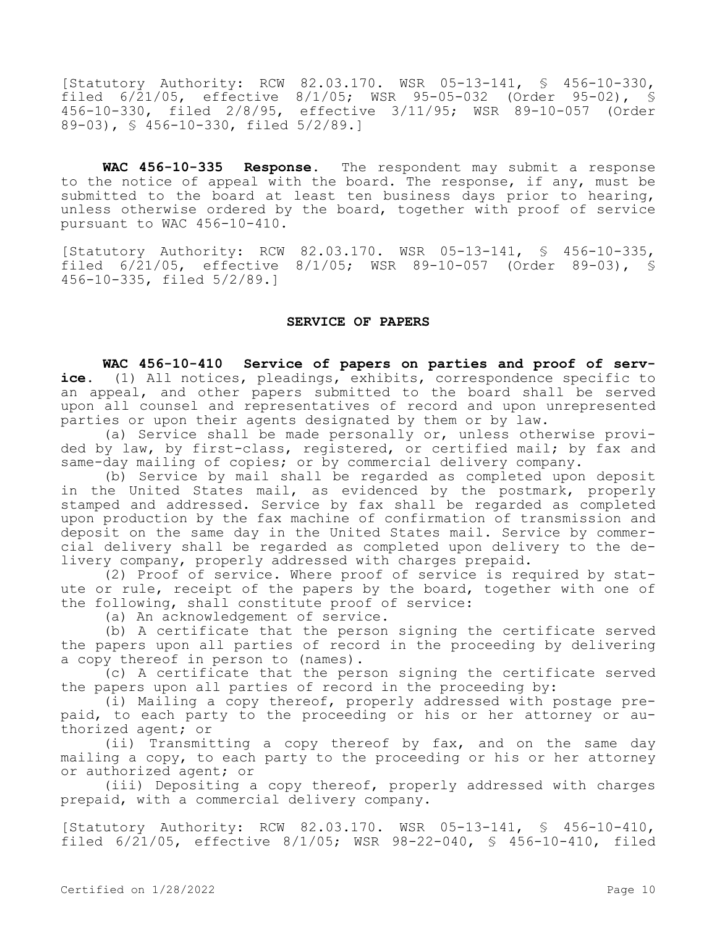[Statutory Authority: RCW 82.03.170. WSR 05-13-141, § 456-10-330, filed 6/21/05, effective 8/1/05; WSR 95-05-032 (Order 95-02), § 456-10-330, filed 2/8/95, effective 3/11/95; WSR 89-10-057 (Order 89-03), § 456-10-330, filed 5/2/89.]

**WAC 456-10-335 Response.** The respondent may submit a response to the notice of appeal with the board. The response, if any, must be submitted to the board at least ten business days prior to hearing, unless otherwise ordered by the board, together with proof of service pursuant to WAC 456-10-410.

[Statutory Authority: RCW 82.03.170. WSR 05-13-141, § 456-10-335, filed 6/21/05, effective 8/1/05; WSR 89-10-057 (Order 89-03), § 456-10-335, filed 5/2/89.]

## **SERVICE OF PAPERS**

**WAC 456-10-410 Service of papers on parties and proof of serv**ice. (1) All notices, pleadings, exhibits, correspondence specific to an appeal, and other papers submitted to the board shall be served upon all counsel and representatives of record and upon unrepresented parties or upon their agents designated by them or by law.

(a) Service shall be made personally or, unless otherwise provided by law, by first-class, registered, or certified mail; by fax and same-day mailing of copies; or by commercial delivery company.

(b) Service by mail shall be regarded as completed upon deposit in the United States mail, as evidenced by the postmark, properly stamped and addressed. Service by fax shall be regarded as completed upon production by the fax machine of confirmation of transmission and deposit on the same day in the United States mail. Service by commercial delivery shall be regarded as completed upon delivery to the delivery company, properly addressed with charges prepaid.

(2) Proof of service. Where proof of service is required by statute or rule, receipt of the papers by the board, together with one of the following, shall constitute proof of service:

(a) An acknowledgement of service.

(b) A certificate that the person signing the certificate served the papers upon all parties of record in the proceeding by delivering a copy thereof in person to (names).

(c) A certificate that the person signing the certificate served the papers upon all parties of record in the proceeding by:

(i) Mailing a copy thereof, properly addressed with postage prepaid, to each party to the proceeding or his or her attorney or authorized agent; or

(ii) Transmitting a copy thereof by fax, and on the same day mailing a copy, to each party to the proceeding or his or her attorney or authorized agent; or

(iii) Depositing a copy thereof, properly addressed with charges prepaid, with a commercial delivery company.

[Statutory Authority: RCW 82.03.170. WSR 05-13-141, § 456-10-410, filed 6/21/05, effective 8/1/05; WSR 98-22-040, § 456-10-410, filed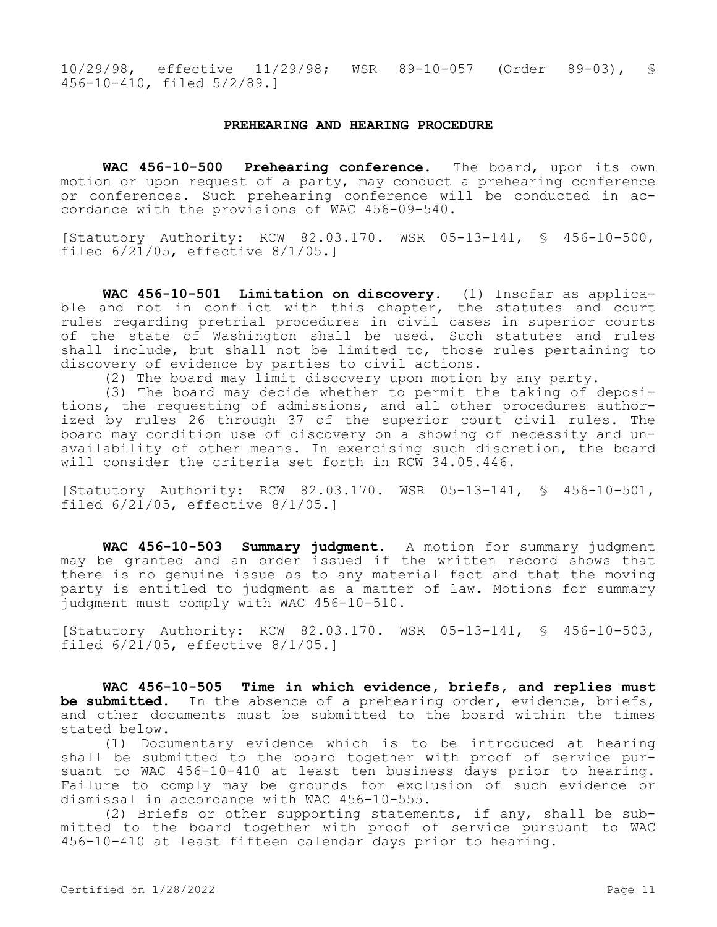10/29/98, effective 11/29/98; WSR 89-10-057 (Order 89-03), § 456-10-410, filed 5/2/89.]

#### **PREHEARING AND HEARING PROCEDURE**

**WAC 456-10-500 Prehearing conference.** The board, upon its own motion or upon request of a party, may conduct a prehearing conference or conferences. Such prehearing conference will be conducted in accordance with the provisions of WAC 456-09-540.

[Statutory Authority: RCW 82.03.170. WSR 05-13-141, § 456-10-500, filed  $6/21/05$ , effective  $8/1/05$ .]

**WAC 456-10-501 Limitation on discovery.** (1) Insofar as applicable and not in conflict with this chapter, the statutes and court rules regarding pretrial procedures in civil cases in superior courts of the state of Washington shall be used. Such statutes and rules shall include, but shall not be limited to, those rules pertaining to discovery of evidence by parties to civil actions.

(2) The board may limit discovery upon motion by any party.

(3) The board may decide whether to permit the taking of depositions, the requesting of admissions, and all other procedures authorized by rules 26 through 37 of the superior court civil rules. The board may condition use of discovery on a showing of necessity and unavailability of other means. In exercising such discretion, the board will consider the criteria set forth in RCW 34.05.446.

[Statutory Authority: RCW 82.03.170. WSR 05-13-141, § 456-10-501, filed  $6/21/05$ , effective  $8/1/05.1$ 

**WAC 456-10-503 Summary judgment.** A motion for summary judgment may be granted and an order issued if the written record shows that there is no genuine issue as to any material fact and that the moving party is entitled to judgment as a matter of law. Motions for summary judgment must comply with WAC 456-10-510.

[Statutory Authority: RCW 82.03.170. WSR 05-13-141, § 456-10-503, filed  $6/21/05$ , effective  $8/1/05.1$ 

**WAC 456-10-505 Time in which evidence, briefs, and replies must be submitted.** In the absence of a prehearing order, evidence, briefs, and other documents must be submitted to the board within the times stated below.

(1) Documentary evidence which is to be introduced at hearing shall be submitted to the board together with proof of service pursuant to WAC 456-10-410 at least ten business days prior to hearing. Failure to comply may be grounds for exclusion of such evidence or dismissal in accordance with WAC 456-10-555.

(2) Briefs or other supporting statements, if any, shall be submitted to the board together with proof of service pursuant to WAC 456-10-410 at least fifteen calendar days prior to hearing.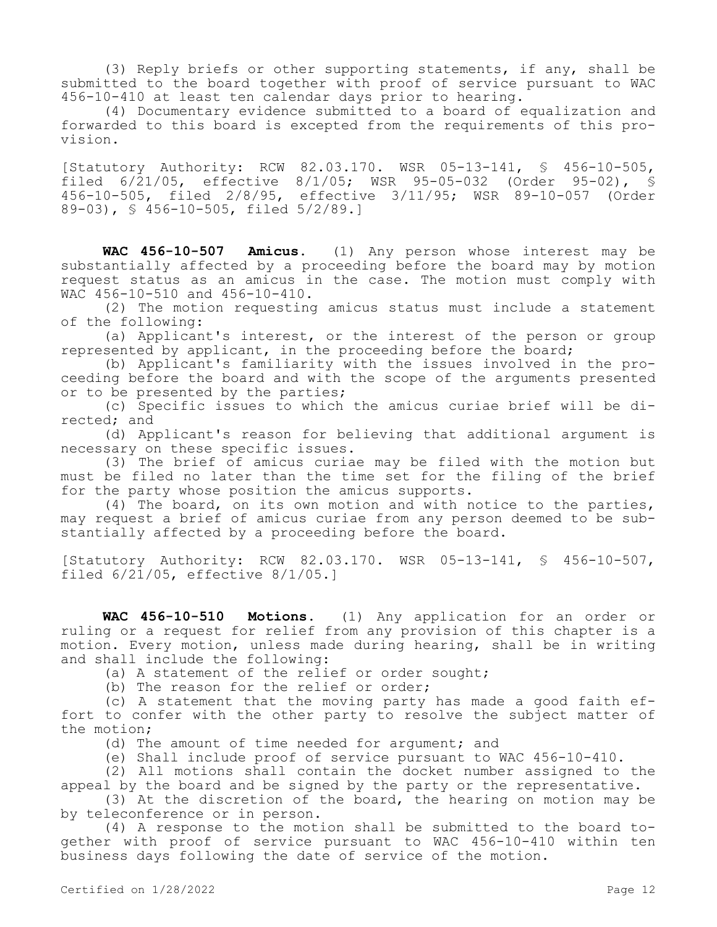(3) Reply briefs or other supporting statements, if any, shall be submitted to the board together with proof of service pursuant to WAC 456-10-410 at least ten calendar days prior to hearing.

(4) Documentary evidence submitted to a board of equalization and forwarded to this board is excepted from the requirements of this provision.

[Statutory Authority: RCW 82.03.170. WSR 05-13-141, § 456-10-505, filed 6/21/05, effective 8/1/05; WSR 95-05-032 (Order 95-02), § 456-10-505, filed 2/8/95, effective 3/11/95; WSR 89-10-057 (Order 89-03), § 456-10-505, filed 5/2/89.]

**WAC 456-10-507 Amicus.** (1) Any person whose interest may be substantially affected by a proceeding before the board may by motion request status as an amicus in the case. The motion must comply with WAC 456-10-510 and 456-10-410.

(2) The motion requesting amicus status must include a statement of the following:

(a) Applicant's interest, or the interest of the person or group represented by applicant, in the proceeding before the board;

(b) Applicant's familiarity with the issues involved in the proceeding before the board and with the scope of the arguments presented or to be presented by the parties;

(c) Specific issues to which the amicus curiae brief will be directed; and

(d) Applicant's reason for believing that additional argument is necessary on these specific issues.

(3) The brief of amicus curiae may be filed with the motion but must be filed no later than the time set for the filing of the brief for the party whose position the amicus supports.

(4) The board, on its own motion and with notice to the parties, may request a brief of amicus curiae from any person deemed to be substantially affected by a proceeding before the board.

[Statutory Authority: RCW 82.03.170. WSR 05-13-141, § 456-10-507, filed  $6/21/05$ , effective  $8/1/05.1$ 

**WAC 456-10-510 Motions.** (1) Any application for an order or ruling or a request for relief from any provision of this chapter is a motion. Every motion, unless made during hearing, shall be in writing and shall include the following:

(a) A statement of the relief or order sought;

(b) The reason for the relief or order;

(c) A statement that the moving party has made a good faith effort to confer with the other party to resolve the subject matter of the motion;

(d) The amount of time needed for argument; and

(e) Shall include proof of service pursuant to WAC 456-10-410.

(2) All motions shall contain the docket number assigned to the appeal by the board and be signed by the party or the representative.

(3) At the discretion of the board, the hearing on motion may be by teleconference or in person.

(4) A response to the motion shall be submitted to the board together with proof of service pursuant to WAC 456-10-410 within ten business days following the date of service of the motion.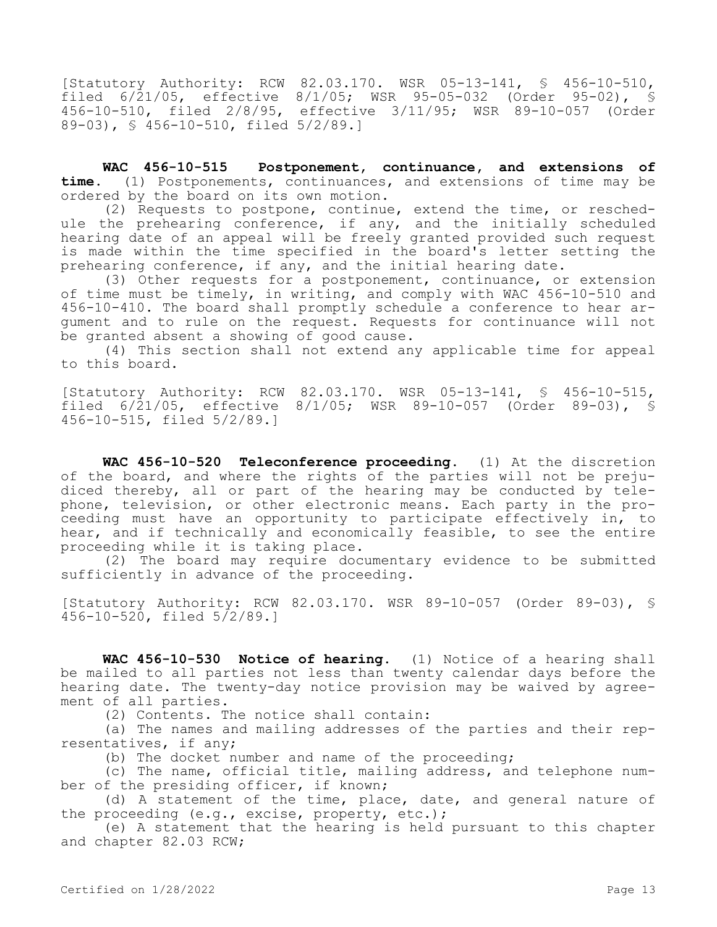[Statutory Authority: RCW 82.03.170. WSR 05-13-141, § 456-10-510, filed 6/21/05, effective 8/1/05; WSR 95-05-032 (Order 95-02), § 456-10-510, filed 2/8/95, effective 3/11/95; WSR 89-10-057 (Order 89-03), § 456-10-510, filed 5/2/89.]

**WAC 456-10-515 Postponement, continuance, and extensions of time.** (1) Postponements, continuances, and extensions of time may be ordered by the board on its own motion.

(2) Requests to postpone, continue, extend the time, or reschedule the prehearing conference, if any, and the initially scheduled hearing date of an appeal will be freely granted provided such request is made within the time specified in the board's letter setting the prehearing conference, if any, and the initial hearing date.

(3) Other requests for a postponement, continuance, or extension of time must be timely, in writing, and comply with WAC 456-10-510 and 456-10-410. The board shall promptly schedule a conference to hear argument and to rule on the request. Requests for continuance will not be granted absent a showing of good cause.

(4) This section shall not extend any applicable time for appeal to this board.

[Statutory Authority: RCW 82.03.170. WSR 05-13-141, § 456-10-515, filed 6/21/05, effective 8/1/05; WSR 89-10-057 (Order 89-03), § 456-10-515, filed 5/2/89.]

**WAC 456-10-520 Teleconference proceeding.** (1) At the discretion of the board, and where the rights of the parties will not be prejudiced thereby, all or part of the hearing may be conducted by telephone, television, or other electronic means. Each party in the proceeding must have an opportunity to participate effectively in, to hear, and if technically and economically feasible, to see the entire proceeding while it is taking place.

(2) The board may require documentary evidence to be submitted sufficiently in advance of the proceeding.

[Statutory Authority: RCW 82.03.170. WSR 89-10-057 (Order 89-03), § 456-10-520, filed 5/2/89.]

**WAC 456-10-530 Notice of hearing.** (1) Notice of a hearing shall be mailed to all parties not less than twenty calendar days before the hearing date. The twenty-day notice provision may be waived by agreement of all parties.

(2) Contents. The notice shall contain:

(a) The names and mailing addresses of the parties and their representatives, if any;

(b) The docket number and name of the proceeding;

(c) The name, official title, mailing address, and telephone number of the presiding officer, if known;

(d) A statement of the time, place, date, and general nature of the proceeding (e.g., excise, property, etc.);

(e) A statement that the hearing is held pursuant to this chapter and chapter 82.03 RCW;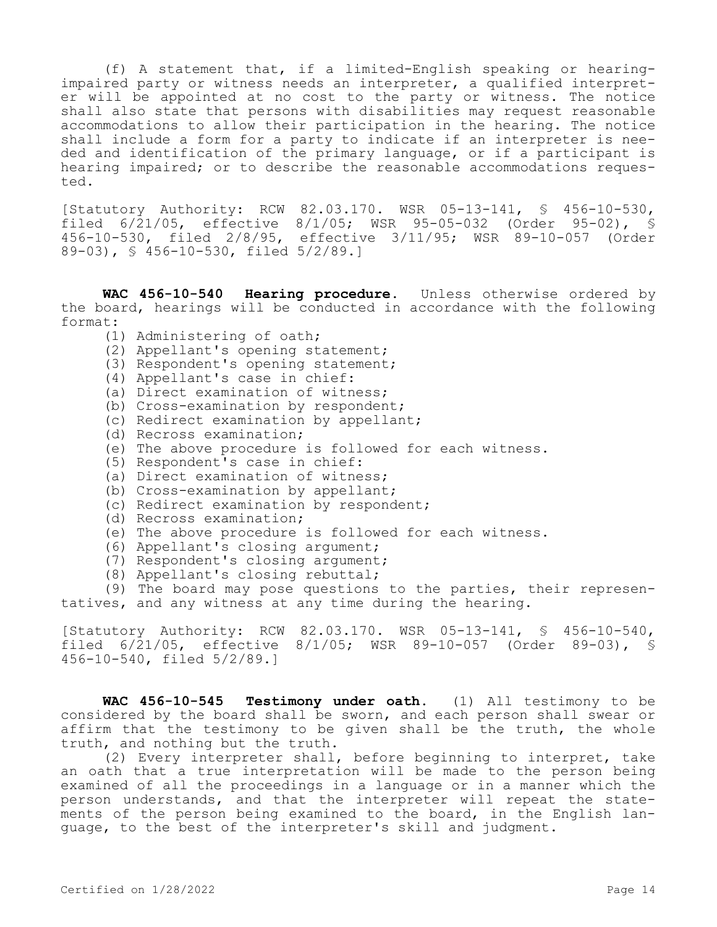(f) A statement that, if a limited-English speaking or hearingimpaired party or witness needs an interpreter, a qualified interpreter will be appointed at no cost to the party or witness. The notice shall also state that persons with disabilities may request reasonable accommodations to allow their participation in the hearing. The notice shall include a form for a party to indicate if an interpreter is needed and identification of the primary language, or if a participant is hearing impaired; or to describe the reasonable accommodations requested.

[Statutory Authority: RCW 82.03.170. WSR 05-13-141, § 456-10-530, filed 6/21/05, effective 8/1/05; WSR 95-05-032 (Order 95-02), 456-10-530, filed 2/8/95, effective 3/11/95; WSR 89-10-057 (Order 89-03), § 456-10-530, filed 5/2/89.]

WAC 456-10-540 Hearing procedure. Unless otherwise ordered by the board, hearings will be conducted in accordance with the following format:

- (1) Administering of oath;
- (2) Appellant's opening statement;
- (3) Respondent's opening statement;
- (4) Appellant's case in chief:
- (a) Direct examination of witness;
- (b) Cross-examination by respondent;
- (c) Redirect examination by appellant;
- (d) Recross examination;
- (e) The above procedure is followed for each witness.
- (5) Respondent's case in chief:
- (a) Direct examination of witness;
- (b) Cross-examination by appellant;
- (c) Redirect examination by respondent;
- (d) Recross examination;
- (e) The above procedure is followed for each witness.
- (6) Appellant's closing argument;
- (7) Respondent's closing argument;
- (8) Appellant's closing rebuttal;

(9) The board may pose questions to the parties, their representatives, and any witness at any time during the hearing.

[Statutory Authority: RCW 82.03.170. WSR 05-13-141, § 456-10-540, filed 6/21/05, effective 8/1/05; WSR 89-10-057 (Order 89-03), § 456-10-540, filed 5/2/89.]

**WAC 456-10-545 Testimony under oath.** (1) All testimony to be considered by the board shall be sworn, and each person shall swear or affirm that the testimony to be given shall be the truth, the whole truth, and nothing but the truth.

(2) Every interpreter shall, before beginning to interpret, take an oath that a true interpretation will be made to the person being examined of all the proceedings in a language or in a manner which the person understands, and that the interpreter will repeat the statements of the person being examined to the board, in the English language, to the best of the interpreter's skill and judgment.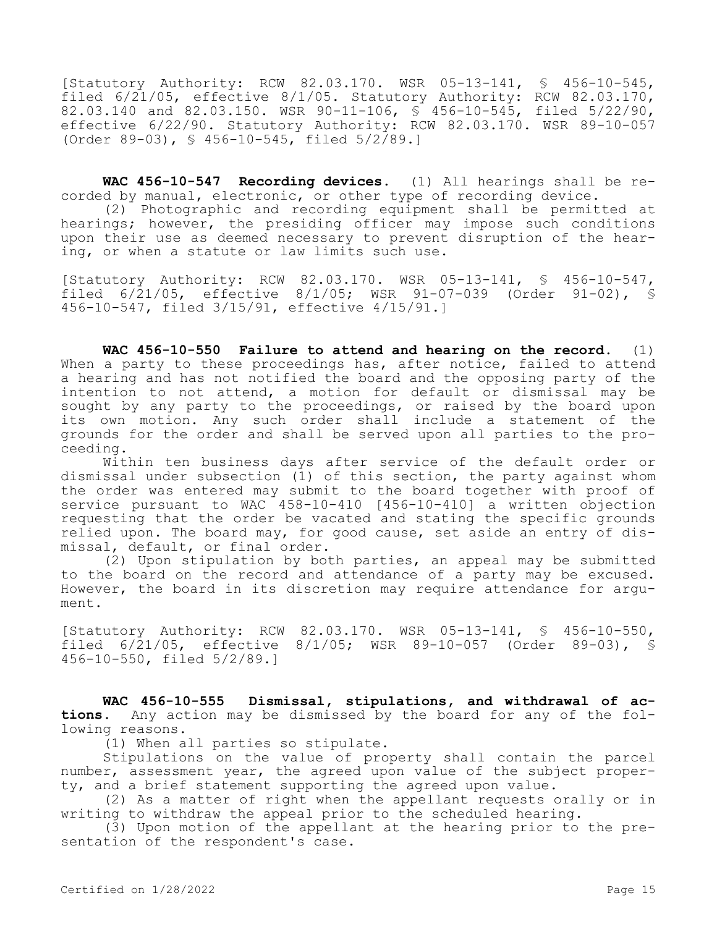[Statutory Authority: RCW 82.03.170. WSR 05-13-141, § 456-10-545, filed 6/21/05, effective 8/1/05. Statutory Authority: RCW 82.03.170, 82.03.140 and 82.03.150. WSR 90-11-106, § 456-10-545, filed 5/22/90, effective 6/22/90. Statutory Authority: RCW 82.03.170. WSR 89-10-057 (Order 89-03), § 456-10-545, filed 5/2/89.]

**WAC 456-10-547 Recording devices.** (1) All hearings shall be recorded by manual, electronic, or other type of recording device.

(2) Photographic and recording equipment shall be permitted at hearings; however, the presiding officer may impose such conditions upon their use as deemed necessary to prevent disruption of the hearing, or when a statute or law limits such use.

[Statutory Authority: RCW 82.03.170. WSR 05-13-141, § 456-10-547, filed 6/21/05, effective 8/1/05; WSR 91-07-039 (Order 91-02), § 456-10-547, filed 3/15/91, effective 4/15/91.]

**WAC 456-10-550 Failure to attend and hearing on the record.** (1) When a party to these proceedings has, after notice, failed to attend a hearing and has not notified the board and the opposing party of the intention to not attend, a motion for default or dismissal may be sought by any party to the proceedings, or raised by the board upon its own motion. Any such order shall include a statement of the grounds for the order and shall be served upon all parties to the proceeding.

Within ten business days after service of the default order or dismissal under subsection (1) of this section, the party against whom the order was entered may submit to the board together with proof of service pursuant to WAC 458-10-410 [456-10-410] a written objection requesting that the order be vacated and stating the specific grounds relied upon. The board may, for good cause, set aside an entry of dismissal, default, or final order.

(2) Upon stipulation by both parties, an appeal may be submitted to the board on the record and attendance of a party may be excused. However, the board in its discretion may require attendance for argument.

[Statutory Authority: RCW 82.03.170. WSR 05-13-141, § 456-10-550, filed 6/21/05, effective 8/1/05; WSR 89-10-057 (Order 89-03), § 456-10-550, filed 5/2/89.]

**WAC 456-10-555 Dismissal, stipulations, and withdrawal of actions.** Any action may be dismissed by the board for any of the following reasons.

(1) When all parties so stipulate.

Stipulations on the value of property shall contain the parcel number, assessment year, the agreed upon value of the subject property, and a brief statement supporting the agreed upon value.

(2) As a matter of right when the appellant requests orally or in writing to withdraw the appeal prior to the scheduled hearing.

(3) Upon motion of the appellant at the hearing prior to the presentation of the respondent's case.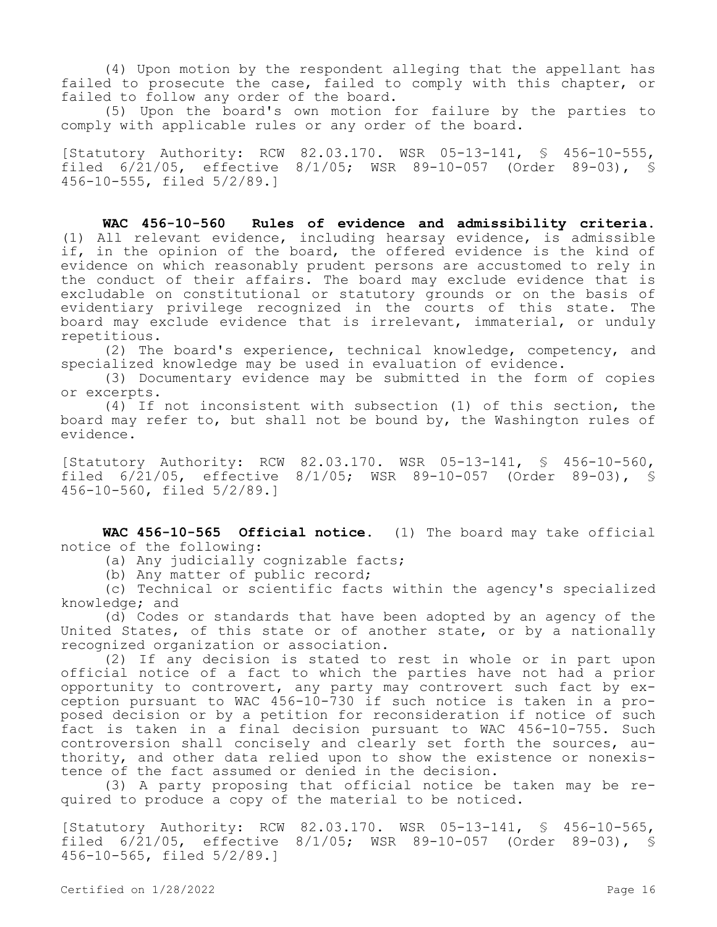(4) Upon motion by the respondent alleging that the appellant has failed to prosecute the case, failed to comply with this chapter, or failed to follow any order of the board.

(5) Upon the board's own motion for failure by the parties to comply with applicable rules or any order of the board.

[Statutory Authority: RCW 82.03.170. WSR 05-13-141, § 456-10-555, filed 6/21/05, effective 8/1/05; WSR 89-10-057 (Order 89-03), § 456-10-555, filed 5/2/89.]

**WAC 456-10-560 Rules of evidence and admissibility criteria.**  (1) All relevant evidence, including hearsay evidence, is admissible if, in the opinion of the board, the offered evidence is the kind of evidence on which reasonably prudent persons are accustomed to rely in the conduct of their affairs. The board may exclude evidence that is excludable on constitutional or statutory grounds or on the basis of evidentiary privilege recognized in the courts of this state. The board may exclude evidence that is irrelevant, immaterial, or unduly repetitious.

(2) The board's experience, technical knowledge, competency, and specialized knowledge may be used in evaluation of evidence.

(3) Documentary evidence may be submitted in the form of copies or excerpts.

(4) If not inconsistent with subsection (1) of this section, the board may refer to, but shall not be bound by, the Washington rules of evidence.

[Statutory Authority: RCW 82.03.170. WSR 05-13-141, § 456-10-560, filed 6/21/05, effective 8/1/05; WSR 89-10-057 (Order 89-03), § 456-10-560, filed 5/2/89.]

**WAC 456-10-565 Official notice.** (1) The board may take official notice of the following:

(a) Any judicially cognizable facts;

(b) Any matter of public record;

(c) Technical or scientific facts within the agency's specialized knowledge; and

(d) Codes or standards that have been adopted by an agency of the United States, of this state or of another state, or by a nationally recognized organization or association.

(2) If any decision is stated to rest in whole or in part upon official notice of a fact to which the parties have not had a prior opportunity to controvert, any party may controvert such fact by exception pursuant to WAC 456-10-730 if such notice is taken in a proposed decision or by a petition for reconsideration if notice of such fact is taken in a final decision pursuant to WAC 456-10-755. Such controversion shall concisely and clearly set forth the sources, authority, and other data relied upon to show the existence or nonexistence of the fact assumed or denied in the decision.

(3) A party proposing that official notice be taken may be required to produce a copy of the material to be noticed.

[Statutory Authority: RCW 82.03.170. WSR 05-13-141, § 456-10-565, filed 6/21/05, effective 8/1/05; WSR 89-10-057 (Order 89-03), § 456-10-565, filed 5/2/89.]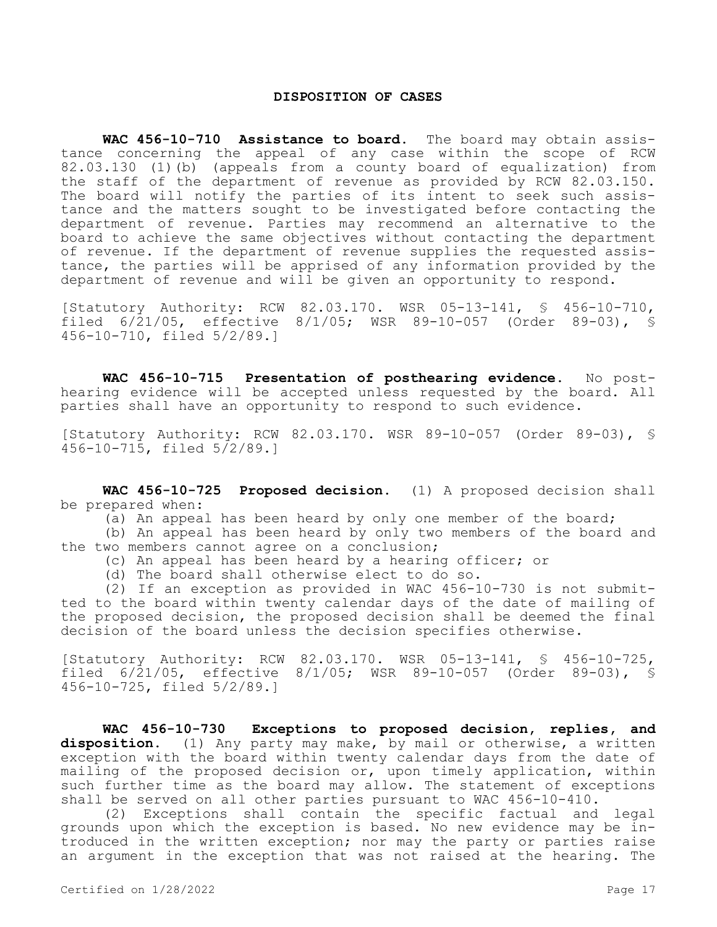#### **DISPOSITION OF CASES**

**WAC 456-10-710 Assistance to board.** The board may obtain assistance concerning the appeal of any case within the scope of RCW 82.03.130 (1)(b) (appeals from a county board of equalization) from the staff of the department of revenue as provided by RCW 82.03.150. The board will notify the parties of its intent to seek such assistance and the matters sought to be investigated before contacting the department of revenue. Parties may recommend an alternative to the board to achieve the same objectives without contacting the department of revenue. If the department of revenue supplies the requested assistance, the parties will be apprised of any information provided by the department of revenue and will be given an opportunity to respond.

[Statutory Authority: RCW 82.03.170. WSR 05-13-141, § 456-10-710, filed 6/21/05, effective 8/1/05; WSR 89-10-057 (Order 89-03), § 456-10-710, filed 5/2/89.]

**WAC 456-10-715 Presentation of posthearing evidence.** No posthearing evidence will be accepted unless requested by the board. All parties shall have an opportunity to respond to such evidence.

[Statutory Authority: RCW 82.03.170. WSR 89-10-057 (Order 89-03), § 456-10-715, filed 5/2/89.]

**WAC 456-10-725 Proposed decision.** (1) A proposed decision shall be prepared when:

(a) An appeal has been heard by only one member of the board;

(b) An appeal has been heard by only two members of the board and the two members cannot agree on a conclusion;

(c) An appeal has been heard by a hearing officer; or

(d) The board shall otherwise elect to do so.

(2) If an exception as provided in WAC 456-10-730 is not submitted to the board within twenty calendar days of the date of mailing of the proposed decision, the proposed decision shall be deemed the final decision of the board unless the decision specifies otherwise.

[Statutory Authority: RCW 82.03.170. WSR 05-13-141, § 456-10-725, filed 6/21/05, effective 8/1/05; WSR 89-10-057 (Order 89-03), § 456-10-725, filed 5/2/89.]

**WAC 456-10-730 Exceptions to proposed decision, replies, and disposition.** (1) Any party may make, by mail or otherwise, a written exception with the board within twenty calendar days from the date of mailing of the proposed decision or, upon timely application, within such further time as the board may allow. The statement of exceptions shall be served on all other parties pursuant to WAC 456-10-410.

(2) Exceptions shall contain the specific factual and legal grounds upon which the exception is based. No new evidence may be introduced in the written exception; nor may the party or parties raise an argument in the exception that was not raised at the hearing. The